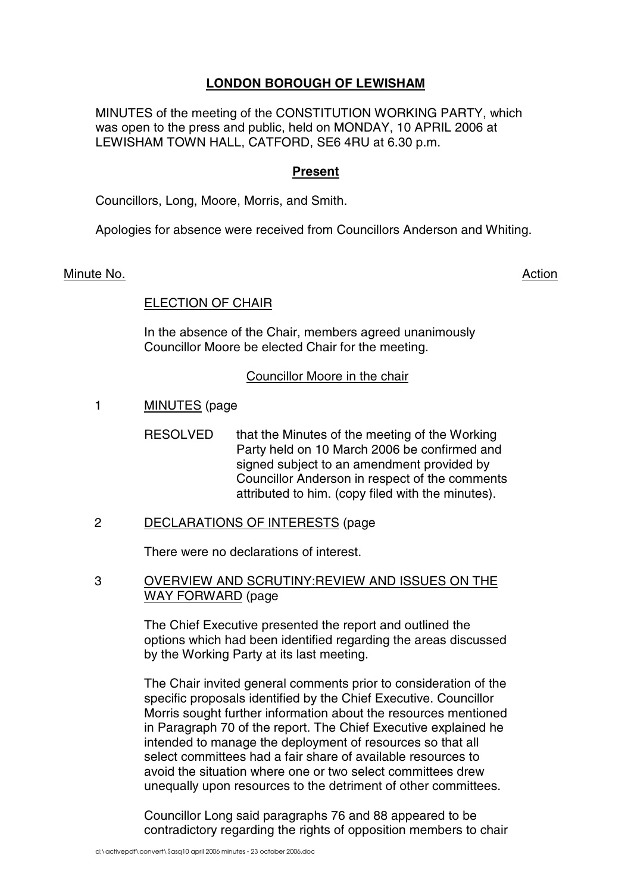# **LONDON BOROUGH OF LEWISHAM**

MINUTES of the meeting of the CONSTITUTION WORKING PARTY, which was open to the press and public, held on MONDAY, 10 APRIL 2006 at LEWISHAM TOWN HALL, CATFORD, SE6 4RU at 6.30 p.m.

# **Present**

Councillors, Long, Moore, Morris, and Smith.

Apologies for absence were received from Councillors Anderson and Whiting.

## Minute No. **Action**

# ELECTION OF CHAIR

In the absence of the Chair, members agreed unanimously Councillor Moore be elected Chair for the meeting.

## Councillor Moore in the chair

- 1 MINUTES (page
	- RESOLVED that the Minutes of the meeting of the Working Party held on 10 March 2006 be confirmed and signed subject to an amendment provided by Councillor Anderson in respect of the comments attributed to him. (copy filed with the minutes).
- 2 DECLARATIONS OF INTERESTS (page

There were no declarations of interest.

3 OVERVIEW AND SCRUTINY:REVIEW AND ISSUES ON THE WAY FORWARD (page

> The Chief Executive presented the report and outlined the options which had been identified regarding the areas discussed by the Working Party at its last meeting.

> The Chair invited general comments prior to consideration of the specific proposals identified by the Chief Executive. Councillor Morris sought further information about the resources mentioned in Paragraph 70 of the report. The Chief Executive explained he intended to manage the deployment of resources so that all select committees had a fair share of available resources to avoid the situation where one or two select committees drew unequally upon resources to the detriment of other committees.

> Councillor Long said paragraphs 76 and 88 appeared to be contradictory regarding the rights of opposition members to chair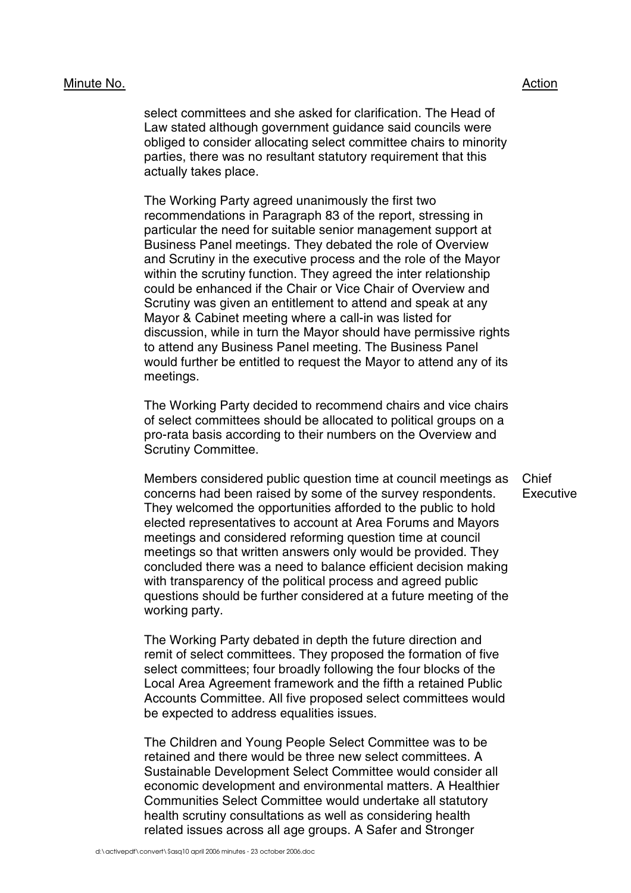#### Minute No. 2008 2012 2022 2023 2024 2022 2022 2023 2024 2022 2023 2024 2022 2023 2024 2022 2023 2024 2022 2023

select committees and she asked for clarification. The Head of Law stated although government guidance said councils were obliged to consider allocating select committee chairs to minority parties, there was no resultant statutory requirement that this actually takes place.

The Working Party agreed unanimously the first two recommendations in Paragraph 83 of the report, stressing in particular the need for suitable senior management support at Business Panel meetings. They debated the role of Overview and Scrutiny in the executive process and the role of the Mayor within the scrutiny function. They agreed the inter relationship could be enhanced if the Chair or Vice Chair of Overview and Scrutiny was given an entitlement to attend and speak at any Mayor & Cabinet meeting where a call-in was listed for discussion, while in turn the Mayor should have permissive rights to attend any Business Panel meeting. The Business Panel would further be entitled to request the Mayor to attend any of its meetings.

The Working Party decided to recommend chairs and vice chairs of select committees should be allocated to political groups on a pro-rata basis according to their numbers on the Overview and Scrutiny Committee.

Members considered public question time at council meetings as concerns had been raised by some of the survey respondents. They welcomed the opportunities afforded to the public to hold elected representatives to account at Area Forums and Mayors meetings and considered reforming question time at council meetings so that written answers only would be provided. They concluded there was a need to balance efficient decision making with transparency of the political process and agreed public questions should be further considered at a future meeting of the working party.

The Working Party debated in depth the future direction and remit of select committees. They proposed the formation of five select committees; four broadly following the four blocks of the Local Area Agreement framework and the fifth a retained Public Accounts Committee. All five proposed select committees would be expected to address equalities issues.

The Children and Young People Select Committee was to be retained and there would be three new select committees. A Sustainable Development Select Committee would consider all economic development and environmental matters. A Healthier Communities Select Committee would undertake all statutory health scrutiny consultations as well as considering health related issues across all age groups. A Safer and Stronger

Chief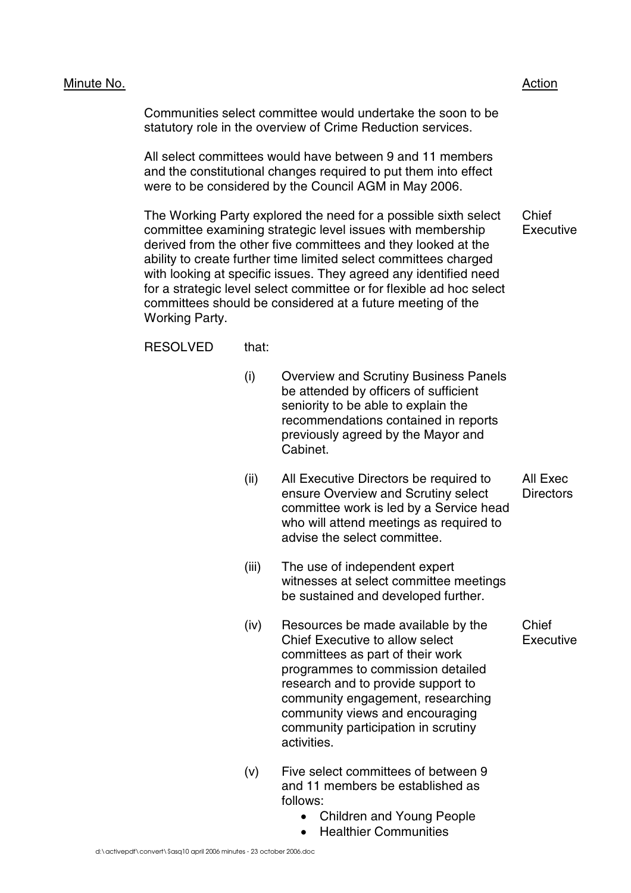## Minute No. 2008 2012 2022 2023 2024 2022 2022 2023 2024 2022 2023 2024 2022 2023 2024 2022 2023 2024 2022 2023

Communities select committee would undertake the soon to be statutory role in the overview of Crime Reduction services.

All select committees would have between 9 and 11 members and the constitutional changes required to put them into effect were to be considered by the Council AGM in May 2006.

The Working Party explored the need for a possible sixth select committee examining strategic level issues with membership derived from the other five committees and they looked at the ability to create further time limited select committees charged with looking at specific issues. They agreed any identified need for a strategic level select committee or for flexible ad hoc select committees should be considered at a future meeting of the Working Party. Chief **Executive** 

RESOLVED that:

- (i) Overview and Scrutiny Business Panels be attended by officers of sufficient seniority to be able to explain the recommendations contained in reports previously agreed by the Mayor and Cabinet.
- (ii) All Executive Directors be required to ensure Overview and Scrutiny select committee work is led by a Service head who will attend meetings as required to advise the select committee.
- (iii) The use of independent expert witnesses at select committee meetings be sustained and developed further.
- (iv) Resources be made available by the Chief Executive to allow select committees as part of their work programmes to commission detailed research and to provide support to community engagement, researching community views and encouraging community participation in scrutiny activities.
- (v) Five select committees of between 9 and 11 members be established as follows:
	- Children and Young People
	- Healthier Communities

All Exec **Directors** 

Chief **Executive**